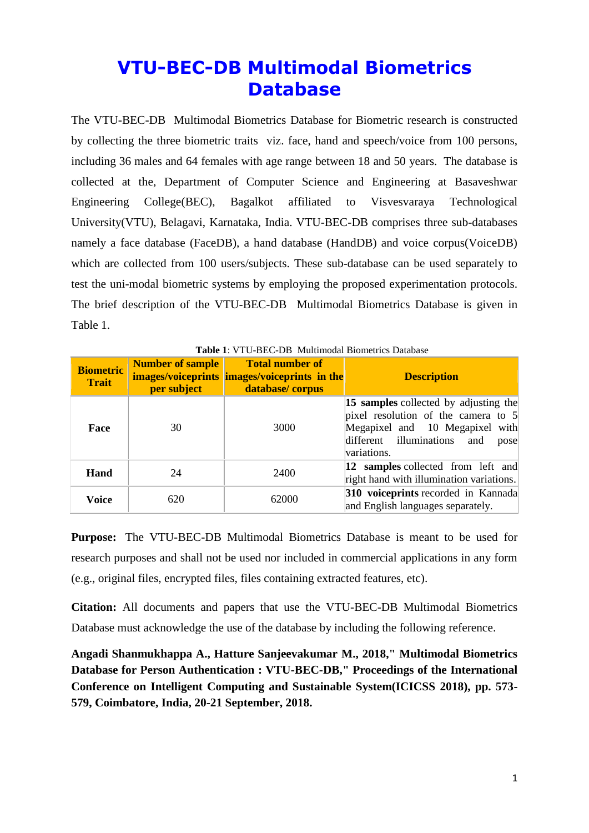# **VTU-BEC-DB Multimodal Biometrics Database**

The VTU-BEC-DB Multimodal Biometrics Database for Biometric research is constructed by collecting the three biometric traits viz. face, hand and speech/voice from 100 persons, including 36 males and 64 females with age range between 18 and 50 years. The database is collected at the, Department of Computer Science and Engineering at Basaveshwar Engineering College(BEC), Bagalkot affiliated to Visvesvaraya Technological University(VTU), Belagavi, Karnataka, India. VTU-BEC-DB comprises three sub-databases namely a face database (FaceDB), a hand database (HandDB) and voice corpus(VoiceDB) which are collected from 100 users/subjects. These sub-database can be used separately to test the uni-modal biometric systems by employing the proposed experimentation protocols. The brief description of the VTU-BEC-DB Multimodal Biometrics Database is given in Table 1.

| <b>Biometric</b><br><b>Trait</b> | <b>Number of sample</b><br>per subject | <b>Total number of</b><br><b>images/voiceprints images/voiceprints in the</b><br>database/corpus | <b>Description</b>                                                                                                                                                         |
|----------------------------------|----------------------------------------|--------------------------------------------------------------------------------------------------|----------------------------------------------------------------------------------------------------------------------------------------------------------------------------|
| Face                             | 30                                     | 3000                                                                                             | 15 samples collected by adjusting the<br>pixel resolution of the camera to $5$<br>Megapixel and 10 Megapixel with<br>different illuminations<br>and<br>pose<br>variations. |
| Hand                             | 24                                     | 2400                                                                                             | 12 samples collected from left and<br>right hand with illumination variations.                                                                                             |
| <b>Voice</b>                     | 620                                    | 62000                                                                                            | 310 voiceprints recorded in Kannada<br>and English languages separately.                                                                                                   |

**Table 1**: VTU-BEC-DB Multimodal Biometrics Database

**Purpose:** The VTU-BEC-DB Multimodal Biometrics Database is meant to be used for research purposes and shall not be used nor included in commercial applications in any form (e.g., original files, encrypted files, files containing extracted features, etc).

**Citation:** All documents and papers that use the VTU-BEC-DB Multimodal Biometrics Database must acknowledge the use of the database by including the following reference.

**Angadi Shanmukhappa A., Hatture Sanjeevakumar M., 2018," Multimodal Biometrics Database for Person Authentication : VTU-BEC-DB," Proceedings of the International Conference on Intelligent Computing and Sustainable System(ICICSS 2018), pp. 573- 579, Coimbatore, India, 20-21 September, 2018.**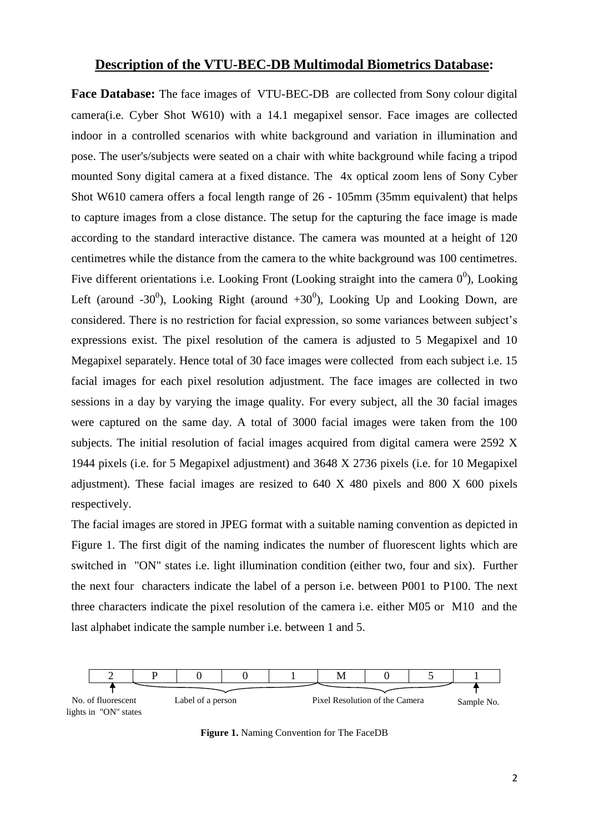## **Description of the VTU-BEC-DB Multimodal Biometrics Database:**

**Face Database:** The face images of VTU-BEC-DB are collected from Sony colour digital camera(i.e. Cyber Shot W610) with a 14.1 megapixel sensor. Face images are collected indoor in a controlled scenarios with white background and variation in illumination and pose. The user's/subjects were seated on a chair with white background while facing a tripod mounted Sony digital camera at a fixed distance. The 4x optical zoom lens of Sony Cyber Shot W610 camera offers a focal length range of 26 - 105mm (35mm equivalent) that helps to capture images from a close distance. The setup for the capturing the face image is made according to the standard interactive distance. The camera was mounted at a height of 120 centimetres while the distance from the camera to the white background was 100 centimetres. Five different orientations i.e. Looking Front (Looking straight into the camera  $0^0$ ), Looking Left (around -30<sup>0</sup>), Looking Right (around +30<sup>0</sup>), Looking Up and Looking Down, are considered. There is no restriction for facial expression, so some variances between subject's expressions exist. The pixel resolution of the camera is adjusted to 5 Megapixel and 10 Megapixel separately. Hence total of 30 face images were collected from each subject i.e. 15 facial images for each pixel resolution adjustment. The face images are collected in two sessions in a day by varying the image quality. For every subject, all the 30 facial images were captured on the same day. A total of 3000 facial images were taken from the 100 subjects. The initial resolution of facial images acquired from digital camera were 2592 X 1944 pixels (i.e. for 5 Megapixel adjustment) and 3648 X 2736 pixels (i.e. for 10 Megapixel adjustment). These facial images are resized to 640 X 480 pixels and 800 X 600 pixels respectively.

The facial images are stored in JPEG format with a suitable naming convention as depicted in Figure 1. The first digit of the naming indicates the number of fluorescent lights which are switched in "ON" states i.e. light illumination condition (either two, four and six). Further the next four characters indicate the label of a person i.e. between P001 to P100. The next three characters indicate the pixel resolution of the camera i.e. either M05 or M10 and the last alphabet indicate the sample number i.e. between 1 and 5.



**Figure 1.** Naming Convention for The FaceDB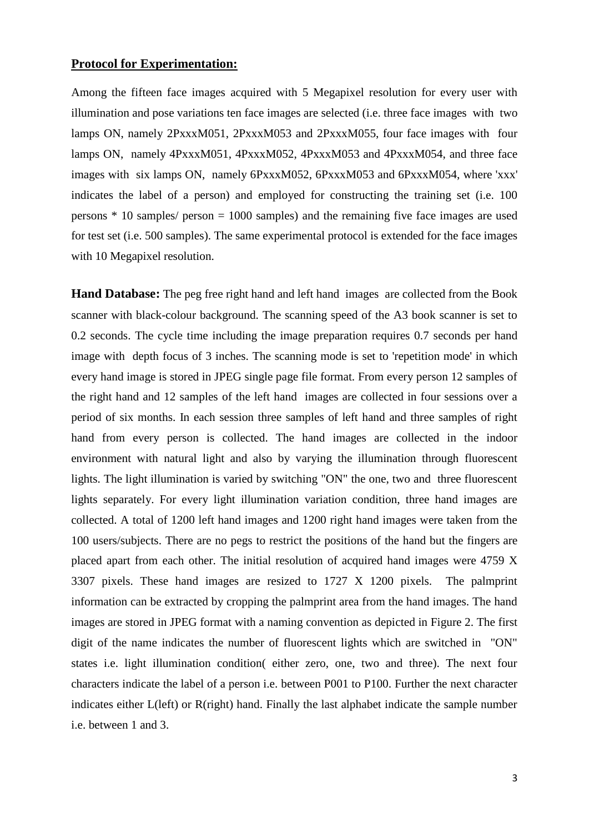#### **Protocol for Experimentation:**

Among the fifteen face images acquired with 5 Megapixel resolution for every user with illumination and pose variations ten face images are selected (i.e. three face images with two lamps ON, namely 2PxxxM051, 2PxxxM053 and 2PxxxM055, four face images with four lamps ON, namely 4PxxxM051, 4PxxxM052, 4PxxxM053 and 4PxxxM054, and three face images with six lamps ON, namely 6PxxxM052, 6PxxxM053 and 6PxxxM054, where 'xxx' indicates the label of a person) and employed for constructing the training set (i.e. 100 persons \* 10 samples/ person = 1000 samples) and the remaining five face images are used for test set (i.e. 500 samples). The same experimental protocol is extended for the face images with 10 Megapixel resolution.

**Hand Database:** The peg free right hand and left hand imagesare collected from the Book scanner with black-colour background. The scanning speed of the A3 book scanner is set to 0.2 seconds. The cycle time including the image preparation requires 0.7 seconds per hand image with depth focus of 3 inches. The scanning mode is set to 'repetition mode' in which every hand image is stored in JPEG single page file format. From every person 12 samples of the right hand and 12 samples of the left hand images are collected in four sessions over a period of six months. In each session three samples of left hand and three samples of right hand from every person is collected. The hand images are collected in the indoor environment with natural light and also by varying the illumination through fluorescent lights. The light illumination is varied by switching "ON" the one, two and three fluorescent lights separately. For every light illumination variation condition, three hand images are collected. A total of 1200 left hand images and 1200 right hand images were taken from the 100 users/subjects. There are no pegs to restrict the positions of the hand but the fingers are placed apart from each other. The initial resolution of acquired hand images were 4759 X 3307 pixels. These hand images are resized to 1727 X 1200 pixels. The palmprint information can be extracted by cropping the palmprint area from the hand images. The hand images are stored in JPEG format with a naming convention as depicted in Figure 2. The first digit of the name indicates the number of fluorescent lights which are switched in "ON" states i.e. light illumination condition( either zero, one, two and three). The next four characters indicate the label of a person i.e. between P001 to P100. Further the next character indicates either L(left) or R(right) hand. Finally the last alphabet indicate the sample number i.e. between 1 and 3.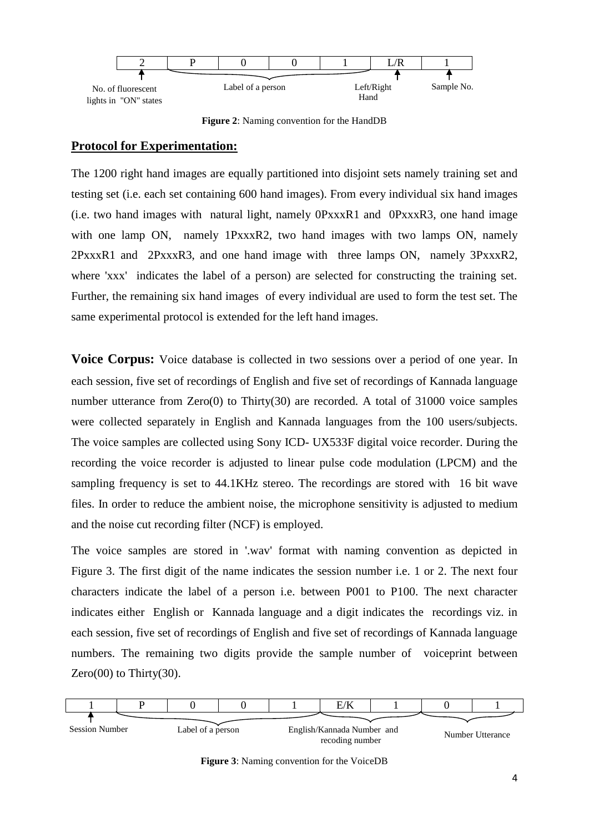

**Figure 2**: Naming convention for the HandDB

## **Protocol for Experimentation:**

The 1200 right hand images are equally partitioned into disjoint sets namely training set and testing set (i.e. each set containing 600 hand images). From every individual six hand images (i.e. two hand images with natural light, namely 0PxxxR1 and 0PxxxR3, one hand image with one lamp ON, namely 1PxxxR2, two hand images with two lamps ON, namely 2PxxxR1 and 2PxxxR3, and one hand image with three lamps ON, namely 3PxxxR2, where 'xxx' indicates the label of a person) are selected for constructing the training set. Further, the remaining six hand images of every individual are used to form the test set. The same experimental protocol is extended for the left hand images.

**Voice Corpus:** Voice database is collected in two sessions over a period of one year. In each session, five set of recordings of English and five set of recordings of Kannada language number utterance from Zero(0) to Thirty(30) are recorded. A total of 31000 voice samples were collected separately in English and Kannada languages from the 100 users/subjects. The voice samples are collected using Sony ICD- UX533F digital voice recorder. During the recording the voice recorder is adjusted to linear pulse code modulation (LPCM) and the sampling frequency is set to 44.1KHz stereo. The recordings are stored with 16 bit wave files. In order to reduce the ambient noise, the microphone sensitivity is adjusted to medium and the noise cut recording filter (NCF) is employed.

The voice samples are stored in '.wav' format with naming convention as depicted in Figure 3. The first digit of the name indicates the session number i.e. 1 or 2. The next four characters indicate the label of a person i.e. between P001 to P100. The next character indicates either English or Kannada language and a digit indicates the recordings viz. in each session, five set of recordings of English and five set of recordings of Kannada language numbers. The remaining two digits provide the sample number of voiceprint between Zero $(00)$  to Thirty $(30)$ .



**Figure 3**: Naming convention for the VoiceDB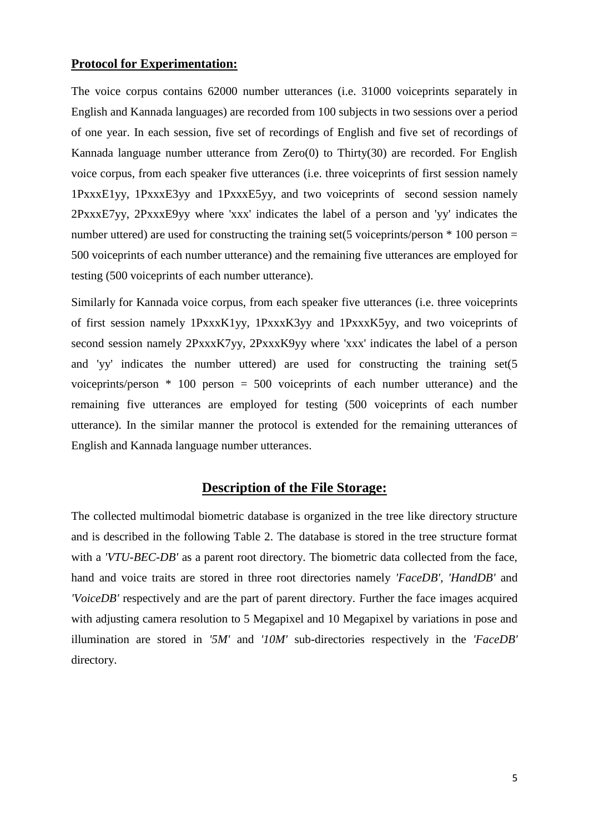#### **Protocol for Experimentation:**

The voice corpus contains 62000 number utterances (i.e. 31000 voiceprints separately in English and Kannada languages) are recorded from 100 subjects in two sessions over a period of one year. In each session, five set of recordings of English and five set of recordings of Kannada language number utterance from Zero(0) to Thirty(30) are recorded. For English voice corpus, from each speaker five utterances (i.e. three voiceprints of first session namely 1PxxxE1yy, 1PxxxE3yy and 1PxxxE5yy, and two voiceprints of second session namely 2PxxxE7yy, 2PxxxE9yy where 'xxx' indicates the label of a person and 'yy' indicates the number uttered) are used for constructing the training set(5 voiceprints/person  $*$  100 person = 500 voiceprints of each number utterance) and the remaining five utterances are employed for testing (500 voiceprints of each number utterance).

Similarly for Kannada voice corpus, from each speaker five utterances (i.e. three voiceprints of first session namely 1PxxxK1yy, 1PxxxK3yy and 1PxxxK5yy, and two voiceprints of second session namely 2PxxxK7yy, 2PxxxK9yy where 'xxx' indicates the label of a person and 'yy' indicates the number uttered) are used for constructing the training set(5 voiceprints/person \* 100 person = 500 voiceprints of each number utterance) and the remaining five utterances are employed for testing (500 voiceprints of each number utterance). In the similar manner the protocol is extended for the remaining utterances of English and Kannada language number utterances.

# **Description of the File Storage:**

The collected multimodal biometric database is organized in the tree like directory structure and is described in the following Table 2. The database is stored in the tree structure format with a *'VTU-BEC-DB'* as a parent root directory. The biometric data collected from the face, hand and voice traits are stored in three root directories namely *'FaceDB'*, *'HandDB'* and *'VoiceDB'* respectively and are the part of parent directory. Further the face images acquired with adjusting camera resolution to 5 Megapixel and 10 Megapixel by variations in pose and illumination are stored in *'5M'* and *'10M'* sub-directories respectively in the *'FaceDB'* directory.